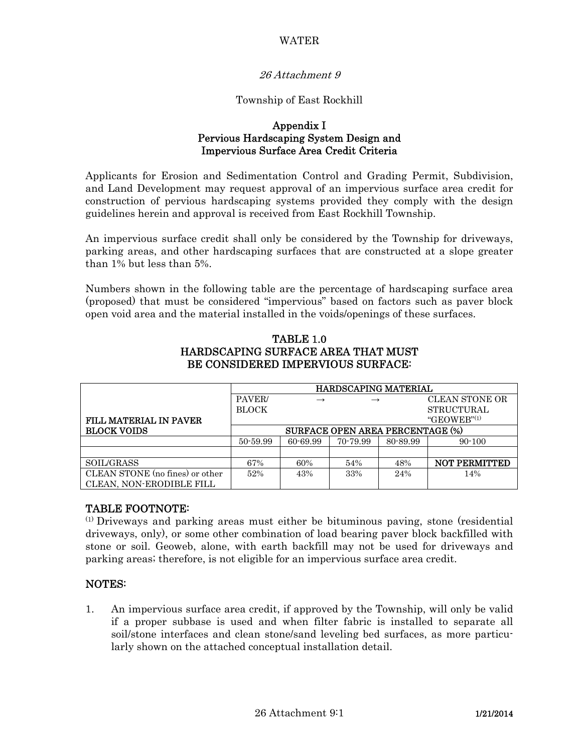## WATER

# 26 Attachment 9

### Township of East Rockhill

#### Appendix I Pervious Hardscaping System Design and Impervious Surface Area Credit Criteria

Applicants for Erosion and Sedimentation Control and Grading Permit, Subdivision, and Land Development may request approval of an impervious surface area credit for construction of pervious hardscaping systems provided they comply with the design guidelines herein and approval is received from East Rockhill Township.

An impervious surface credit shall only be considered by the Township for driveways, parking areas, and other hardscaping surfaces that are constructed at a slope greater than 1% but less than 5%.

Numbers shown in the following table are the percentage of hardscaping surface area (proposed) that must be considered "impervious" based on factors such as paver block open void area and the material installed in the voids/openings of these surfaces.

|                                 | <b>HARDSCAPING MATERIAL</b>             |               |               |          |                       |
|---------------------------------|-----------------------------------------|---------------|---------------|----------|-----------------------|
|                                 | PAVER/                                  | $\rightarrow$ | $\rightarrow$ |          | <b>CLEAN STONE OR</b> |
|                                 | <b>BLOCK</b>                            |               |               |          | <b>STRUCTURAL</b>     |
| <b>FILL MATERIAL IN PAVER</b>   |                                         |               |               |          | "GEOWEB" $(1)$        |
| <b>BLOCK VOIDS</b>              | <b>SURFACE OPEN AREA PERCENTAGE (%)</b> |               |               |          |                       |
|                                 | 50-59.99                                | 60-69.99      | 70-79.99      | 80-89.99 | $90 - 100$            |
|                                 |                                         |               |               |          |                       |
| SOIL/GRASS                      | 67%                                     | 60%           | 54%           | 48%      | <b>NOT PERMITTED</b>  |
| CLEAN STONE (no fines) or other | 52%                                     | 43%           | 33%           | 24%      | 14%                   |
| CLEAN, NON-ERODIBLE FILL        |                                         |               |               |          |                       |

## TABLE 1.0 HARDSCAPING SURFACE AREA THAT MUST BE CONSIDERED IMPERVIOUS SURFACE:

## TABLE FOOTNOTE:

(1) Driveways and parking areas must either be bituminous paving, stone (residential driveways, only), or some other combination of load bearing paver block backfilled with stone or soil. Geoweb, alone, with earth backfill may not be used for driveways and parking areas; therefore, is not eligible for an impervious surface area credit.

## NOTES:

1. An impervious surface area credit, if approved by the Township, will only be valid if a proper subbase is used and when filter fabric is installed to separate all soil/stone interfaces and clean stone/sand leveling bed surfaces, as more particularly shown on the attached conceptual installation detail.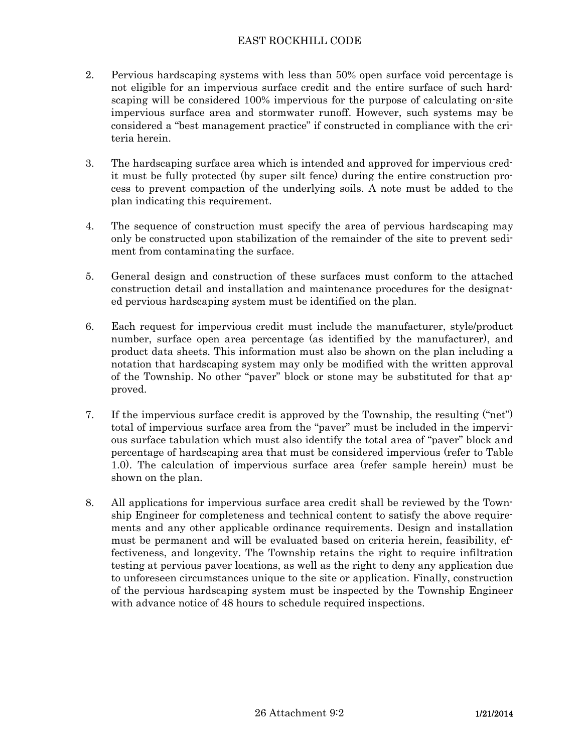# EAST ROCKHILL CODE

- 2. Pervious hardscaping systems with less than 50% open surface void percentage is not eligible for an impervious surface credit and the entire surface of such hardscaping will be considered 100% impervious for the purpose of calculating on-site impervious surface area and stormwater runoff. However, such systems may be considered a "best management practice" if constructed in compliance with the criteria herein.
- 3. The hardscaping surface area which is intended and approved for impervious credit must be fully protected (by super silt fence) during the entire construction process to prevent compaction of the underlying soils. A note must be added to the plan indicating this requirement.
- 4. The sequence of construction must specify the area of pervious hardscaping may only be constructed upon stabilization of the remainder of the site to prevent sediment from contaminating the surface.
- 5. General design and construction of these surfaces must conform to the attached construction detail and installation and maintenance procedures for the designated pervious hardscaping system must be identified on the plan.
- 6. Each request for impervious credit must include the manufacturer, style/product number, surface open area percentage (as identified by the manufacturer), and product data sheets. This information must also be shown on the plan including a notation that hardscaping system may only be modified with the written approval of the Township. No other "paver" block or stone may be substituted for that approved.
- 7. If the impervious surface credit is approved by the Township, the resulting ("net") total of impervious surface area from the "paver" must be included in the impervious surface tabulation which must also identify the total area of "paver" block and percentage of hardscaping area that must be considered impervious (refer to Table 1.0). The calculation of impervious surface area (refer sample herein) must be shown on the plan.
- 8. All applications for impervious surface area credit shall be reviewed by the Township Engineer for completeness and technical content to satisfy the above requirements and any other applicable ordinance requirements. Design and installation must be permanent and will be evaluated based on criteria herein, feasibility, effectiveness, and longevity. The Township retains the right to require infiltration testing at pervious paver locations, as well as the right to deny any application due to unforeseen circumstances unique to the site or application. Finally, construction of the pervious hardscaping system must be inspected by the Township Engineer with advance notice of 48 hours to schedule required inspections.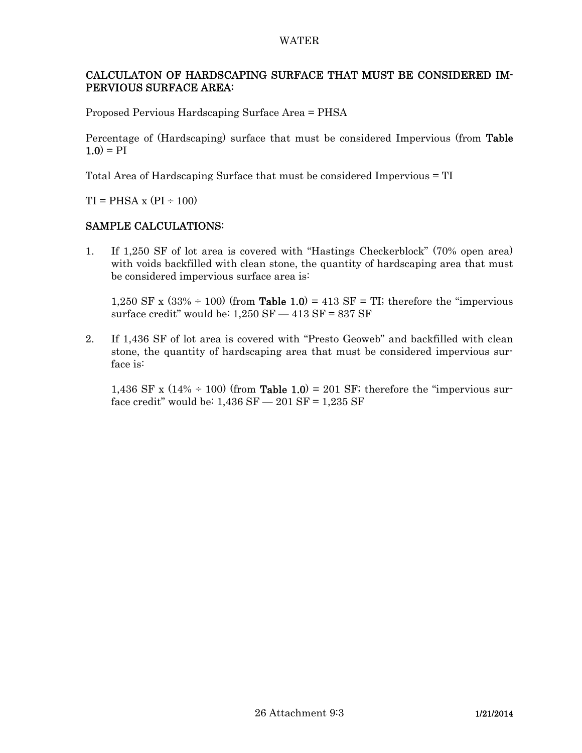#### WATER

# CALCULATON OF HARDSCAPING SURFACE THAT MUST BE CONSIDERED IM-PERVIOUS SURFACE AREA:

Proposed Pervious Hardscaping Surface Area = PHSA

Percentage of (Hardscaping) surface that must be considered Impervious (from Table  $1.0$ ) = PI

Total Area of Hardscaping Surface that must be considered Impervious = TI

 $TI = PHSA \times (PI \div 100)$ 

## SAMPLE CALCULATIONS:

1. If 1,250 SF of lot area is covered with "Hastings Checkerblock" (70% open area) with voids backfilled with clean stone, the quantity of hardscaping area that must be considered impervious surface area is:

1,250 SF x  $(33\% \div 100)$  (from **Table 1.0)** = 413 SF = TI; therefore the "impervious" surface credit" would be:  $1,250$  SF  $-$  413 SF = 837 SF

2. If 1,436 SF of lot area is covered with "Presto Geoweb" and backfilled with clean stone, the quantity of hardscaping area that must be considered impervious surface is:

1,436 SF x  $(14\% \div 100)$  (from **Table 1.0)** = 201 SF; therefore the "impervious surface credit" would be:  $1,436$  SF  $- 201$  SF =  $1,235$  SF